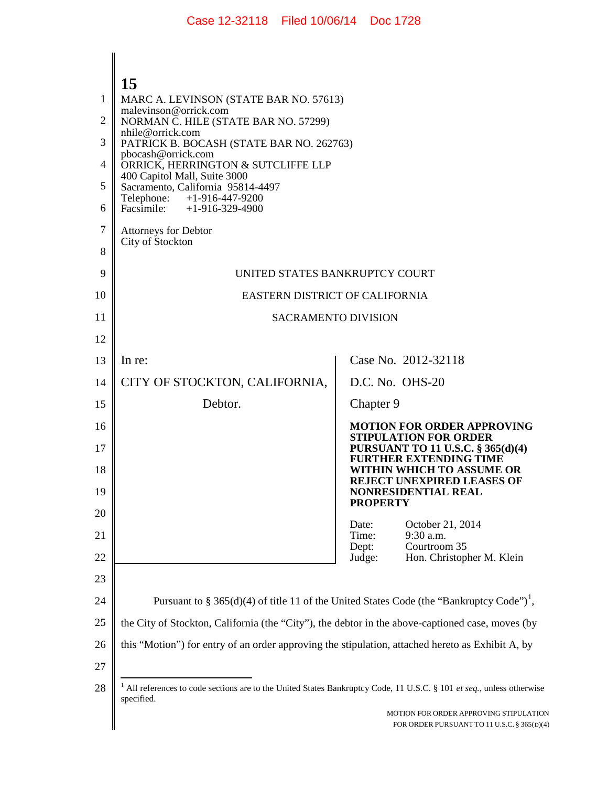|                | 15                                                                                                                                |                 |                                                                                       |
|----------------|-----------------------------------------------------------------------------------------------------------------------------------|-----------------|---------------------------------------------------------------------------------------|
| 1              | MARC A. LEVINSON (STATE BAR NO. 57613)                                                                                            |                 |                                                                                       |
| $\overline{2}$ | malevinson@orrick.com<br>NORMAN C. HILE (STATE BAR NO. 57299)                                                                     |                 |                                                                                       |
| 3              | nhile@orrick.com<br>PATRICK B. BOCASH (STATE BAR NO. 262763)                                                                      |                 |                                                                                       |
| 4              | pbocash@orrick.com<br>ORRICK, HERRINGTON & SUTCLIFFE LLP                                                                          |                 |                                                                                       |
| 5              | 400 Capitol Mall, Suite 3000<br>Sacramento, California 95814-4497                                                                 |                 |                                                                                       |
| 6              | Telephone:<br>$+1-916-447-9200$<br>Facsimile: $+1-916-329-4900$                                                                   |                 |                                                                                       |
| 7              | <b>Attorneys for Debtor</b>                                                                                                       |                 |                                                                                       |
| 8              | City of Stockton                                                                                                                  |                 |                                                                                       |
| 9              | UNITED STATES BANKRUPTCY COURT                                                                                                    |                 |                                                                                       |
| 10             | EASTERN DISTRICT OF CALIFORNIA                                                                                                    |                 |                                                                                       |
| 11             | <b>SACRAMENTO DIVISION</b>                                                                                                        |                 |                                                                                       |
| 12             |                                                                                                                                   |                 |                                                                                       |
| 13             | In re:                                                                                                                            |                 | Case No. 2012-32118                                                                   |
| 14             | CITY OF STOCKTON, CALIFORNIA,                                                                                                     |                 | D.C. No. OHS-20                                                                       |
| 15             | Debtor.                                                                                                                           | Chapter 9       |                                                                                       |
| 16             |                                                                                                                                   |                 | <b>MOTION FOR ORDER APPROVING</b><br><b>STIPULATION FOR ORDER</b>                     |
| 17             |                                                                                                                                   |                 | PURSUANT TO 11 U.S.C. § 365(d)(4)<br><b>FURTHER EXTENDING TIME</b>                    |
| 18             |                                                                                                                                   |                 | WITHIN WHICH TO ASSUME OR<br><b>REJECT UNEXPIRED LEASES OF</b>                        |
| 19             |                                                                                                                                   | <b>PROPERTY</b> | <b>NONRESIDENTIAL REAL</b>                                                            |
| 20             |                                                                                                                                   | Date:           | October 21, 2014                                                                      |
| 21             |                                                                                                                                   | Time:<br>Dept:  | 9:30 a.m.<br>Courtroom 35                                                             |
| 22             |                                                                                                                                   | Judge:          | Hon. Christopher M. Klein                                                             |
| 23             |                                                                                                                                   |                 |                                                                                       |
| 24             | Pursuant to § 365(d)(4) of title 11 of the United States Code (the "Bankruptcy Code") <sup>1</sup> ,                              |                 |                                                                                       |
| 25             | the City of Stockton, California (the "City"), the debtor in the above-captioned case, moves (by                                  |                 |                                                                                       |
| 26             | this "Motion") for entry of an order approving the stipulation, attached hereto as Exhibit A, by                                  |                 |                                                                                       |
| 27             |                                                                                                                                   |                 |                                                                                       |
| 28             | All references to code sections are to the United States Bankruptcy Code, 11 U.S.C. § 101 et seq., unless otherwise<br>specified. |                 |                                                                                       |
|                |                                                                                                                                   |                 | MOTION FOR ORDER APPROVING STIPULATION<br>FOR ORDER PURSUANT TO 11 U.S.C. § 365(D)(4) |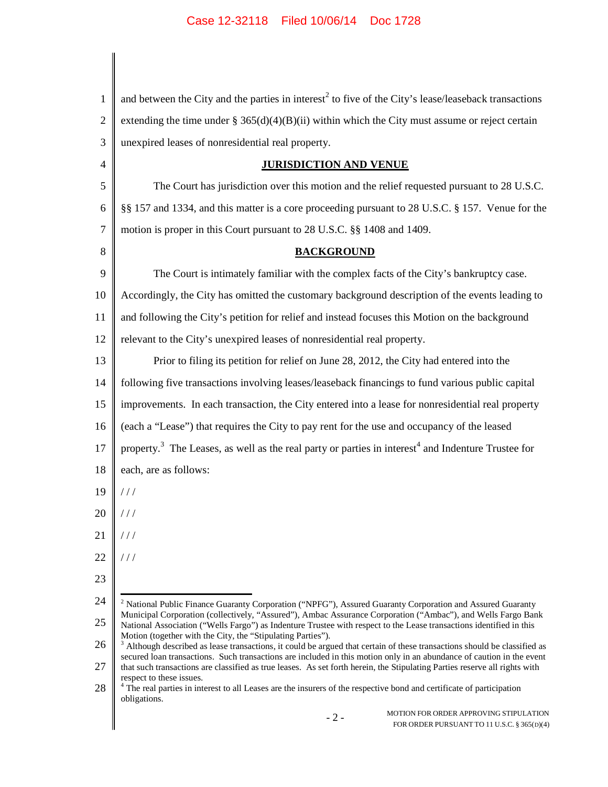| 1              | and between the City and the parties in interest <sup>2</sup> to five of the City's lease/leaseback transactions                                                                                                                                                                                                             |
|----------------|------------------------------------------------------------------------------------------------------------------------------------------------------------------------------------------------------------------------------------------------------------------------------------------------------------------------------|
| $\overline{2}$ | extending the time under $\S 365(d)(4)(B)(ii)$ within which the City must assume or reject certain                                                                                                                                                                                                                           |
| 3              | unexpired leases of nonresidential real property.                                                                                                                                                                                                                                                                            |
| $\overline{4}$ | <b>JURISDICTION AND VENUE</b>                                                                                                                                                                                                                                                                                                |
| 5              | The Court has jurisdiction over this motion and the relief requested pursuant to 28 U.S.C.                                                                                                                                                                                                                                   |
| 6              | §§ 157 and 1334, and this matter is a core proceeding pursuant to 28 U.S.C. § 157. Venue for the                                                                                                                                                                                                                             |
| 7              | motion is proper in this Court pursuant to 28 U.S.C. §§ 1408 and 1409.                                                                                                                                                                                                                                                       |
| 8              | <b>BACKGROUND</b>                                                                                                                                                                                                                                                                                                            |
| 9              | The Court is intimately familiar with the complex facts of the City's bankruptcy case.                                                                                                                                                                                                                                       |
| 10             | Accordingly, the City has omitted the customary background description of the events leading to                                                                                                                                                                                                                              |
| 11             | and following the City's petition for relief and instead focuses this Motion on the background                                                                                                                                                                                                                               |
| 12             | relevant to the City's unexpired leases of nonresidential real property.                                                                                                                                                                                                                                                     |
| 13             | Prior to filing its petition for relief on June 28, 2012, the City had entered into the                                                                                                                                                                                                                                      |
| 14             | following five transactions involving leases/leaseback financings to fund various public capital                                                                                                                                                                                                                             |
| 15             | improvements. In each transaction, the City entered into a lease for nonresidential real property                                                                                                                                                                                                                            |
| 16             | (each a "Lease") that requires the City to pay rent for the use and occupancy of the leased                                                                                                                                                                                                                                  |
| 17             | property. <sup>3</sup> The Leases, as well as the real party or parties in interest <sup>4</sup> and Indenture Trustee for                                                                                                                                                                                                   |
| 18             | each, are as follows:                                                                                                                                                                                                                                                                                                        |
| 19             | $\frac{1}{2}$                                                                                                                                                                                                                                                                                                                |
| 20             | 111                                                                                                                                                                                                                                                                                                                          |
| 21             | 111                                                                                                                                                                                                                                                                                                                          |
| 22             | 111                                                                                                                                                                                                                                                                                                                          |
| 23             |                                                                                                                                                                                                                                                                                                                              |
| 24             | <sup>2</sup> National Public Finance Guaranty Corporation ("NPFG"), Assured Guaranty Corporation and Assured Guaranty                                                                                                                                                                                                        |
| 25             | Municipal Corporation (collectively, "Assured"), Ambac Assurance Corporation ("Ambac"), and Wells Fargo Bank<br>National Association ("Wells Fargo") as Indenture Trustee with respect to the Lease transactions identified in this                                                                                          |
| 26             | Motion (together with the City, the "Stipulating Parties").<br><sup>3</sup> Although described as lease transactions, it could be argued that certain of these transactions should be classified as<br>secured loan transactions. Such transactions are included in this motion only in an abundance of caution in the event |
| 27             | that such transactions are classified as true leases. As set forth herein, the Stipulating Parties reserve all rights with<br>respect to these issues.                                                                                                                                                                       |
| 28             | <sup>4</sup> The real parties in interest to all Leases are the insurers of the respective bond and certificate of participation<br>obligations.                                                                                                                                                                             |
|                | MOTION FOR ORDER APPROVING STIPULATION<br>$-2-$<br>FOR ORDER PURSUANT TO 11 U.S.C. § 365(D)(4)                                                                                                                                                                                                                               |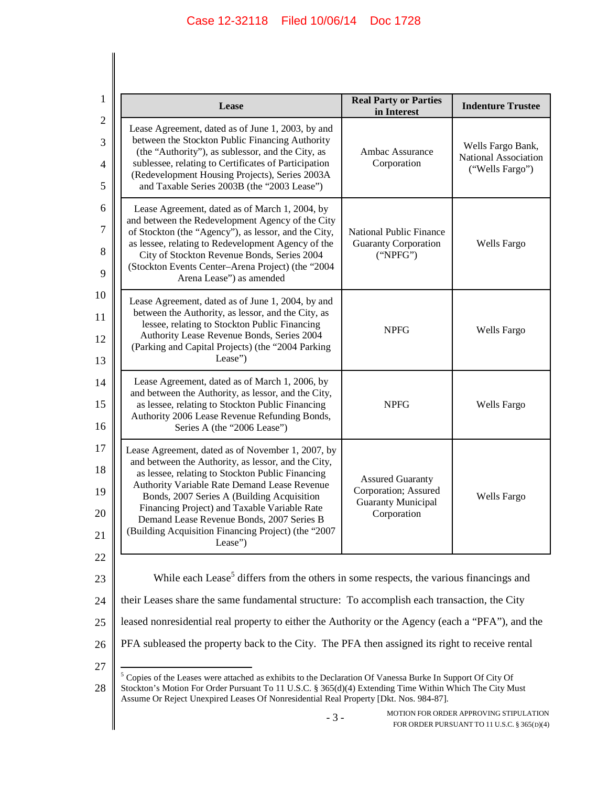|                                                                                                                                                                                                                                                                                                              | Lease                                                                                                                                                                                                                                                                                                                                                                                                                     | <b>Real Party or Parties</b><br>in Interest                                                 | <b>Indenture Trustee</b>                                     |
|--------------------------------------------------------------------------------------------------------------------------------------------------------------------------------------------------------------------------------------------------------------------------------------------------------------|---------------------------------------------------------------------------------------------------------------------------------------------------------------------------------------------------------------------------------------------------------------------------------------------------------------------------------------------------------------------------------------------------------------------------|---------------------------------------------------------------------------------------------|--------------------------------------------------------------|
|                                                                                                                                                                                                                                                                                                              | Lease Agreement, dated as of June 1, 2003, by and<br>between the Stockton Public Financing Authority<br>(the "Authority"), as sublessor, and the City, as<br>sublessee, relating to Certificates of Participation<br>(Redevelopment Housing Projects), Series 2003A<br>and Taxable Series 2003B (the "2003 Lease")                                                                                                        | Ambac Assurance<br>Corporation                                                              | Wells Fargo Bank,<br>National Association<br>("Wells Fargo") |
|                                                                                                                                                                                                                                                                                                              | Lease Agreement, dated as of March 1, 2004, by<br>and between the Redevelopment Agency of the City<br>of Stockton (the "Agency"), as lessor, and the City,<br>as lessee, relating to Redevelopment Agency of the<br>City of Stockton Revenue Bonds, Series 2004<br>(Stockton Events Center-Arena Project) (the "2004<br>Arena Lease") as amended                                                                          | <b>National Public Finance</b><br><b>Guaranty Corporation</b><br>("NPEG")                   | Wells Fargo                                                  |
|                                                                                                                                                                                                                                                                                                              | Lease Agreement, dated as of June 1, 2004, by and<br>between the Authority, as lessor, and the City, as<br>lessee, relating to Stockton Public Financing<br>Authority Lease Revenue Bonds, Series 2004<br>(Parking and Capital Projects) (the "2004 Parking<br>Lease")                                                                                                                                                    | <b>NPFG</b>                                                                                 | Wells Fargo                                                  |
|                                                                                                                                                                                                                                                                                                              | Lease Agreement, dated as of March 1, 2006, by<br>and between the Authority, as lessor, and the City,<br>as lessee, relating to Stockton Public Financing<br>Authority 2006 Lease Revenue Refunding Bonds,<br>Series A (the "2006 Lease")                                                                                                                                                                                 | <b>NPFG</b>                                                                                 | <b>Wells Fargo</b>                                           |
|                                                                                                                                                                                                                                                                                                              | Lease Agreement, dated as of November 1, 2007, by<br>and between the Authority, as lessor, and the City,<br>as lessee, relating to Stockton Public Financing<br>Authority Variable Rate Demand Lease Revenue<br>Bonds, 2007 Series A (Building Acquisition<br>Financing Project) and Taxable Variable Rate<br>Demand Lease Revenue Bonds, 2007 Series B<br>(Building Acquisition Financing Project) (the "2007<br>Lease") | <b>Assured Guaranty</b><br>Corporation; Assured<br><b>Guaranty Municipal</b><br>Corporation | Wells Fargo                                                  |
| While each Lease <sup>5</sup> differs from the others in some respects, the various financings and                                                                                                                                                                                                           |                                                                                                                                                                                                                                                                                                                                                                                                                           |                                                                                             |                                                              |
|                                                                                                                                                                                                                                                                                                              | their Leases share the same fundamental structure: To accomplish each transaction, the City                                                                                                                                                                                                                                                                                                                               |                                                                                             |                                                              |
|                                                                                                                                                                                                                                                                                                              | leased nonresidential real property to either the Authority or the Agency (each a "PFA"), and the<br>PFA subleased the property back to the City. The PFA then assigned its right to receive rental                                                                                                                                                                                                                       |                                                                                             |                                                              |
| Copies of the Leases were attached as exhibits to the Declaration Of Vanessa Burke In Support Of City Of<br>Stockton's Motion For Order Pursuant To 11 U.S.C. § 365(d)(4) Extending Time Within Which The City Must<br>Assume Or Reject Unexpired Leases Of Nonresidential Real Property [Dkt. Nos. 984-87]. |                                                                                                                                                                                                                                                                                                                                                                                                                           |                                                                                             |                                                              |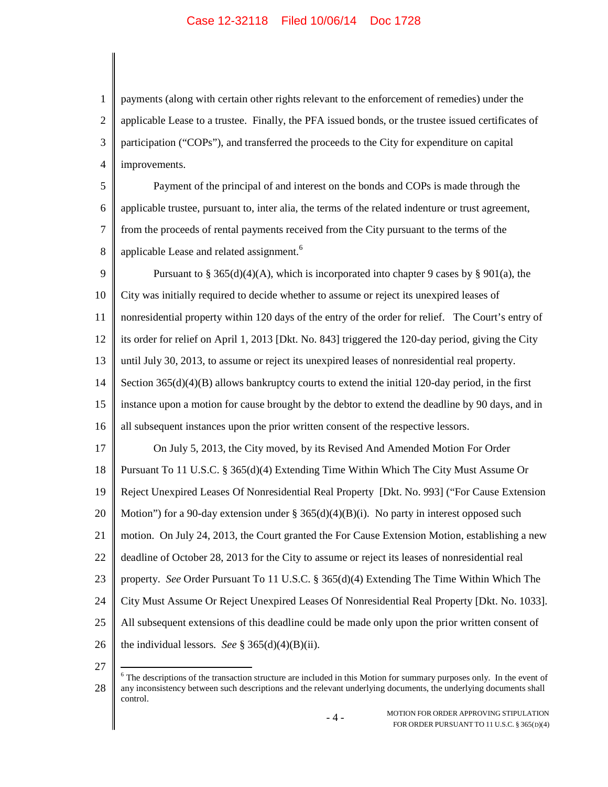1 2 3 4 payments (along with certain other rights relevant to the enforcement of remedies) under the applicable Lease to a trustee. Finally, the PFA issued bonds, or the trustee issued certificates of participation ("COPs"), and transferred the proceeds to the City for expenditure on capital improvements.

5 6 7 8 Payment of the principal of and interest on the bonds and COPs is made through the applicable trustee, pursuant to, inter alia, the terms of the related indenture or trust agreement, from the proceeds of rental payments received from the City pursuant to the terms of the applicable Lease and related assignment.<sup>6</sup>

9 10 11 12 13 14 15 16 17 18 19 20 21 22 23 24 25 26 Pursuant to § 365(d)(4)(A), which is incorporated into chapter 9 cases by § 901(a), the City was initially required to decide whether to assume or reject its unexpired leases of nonresidential property within 120 days of the entry of the order for relief. The Court's entry of its order for relief on April 1, 2013 [Dkt. No. 843] triggered the 120-day period, giving the City until July 30, 2013, to assume or reject its unexpired leases of nonresidential real property. Section  $365(d)(4)(B)$  allows bankruptcy courts to extend the initial 120-day period, in the first instance upon a motion for cause brought by the debtor to extend the deadline by 90 days, and in all subsequent instances upon the prior written consent of the respective lessors. On July 5, 2013, the City moved, by its Revised And Amended Motion For Order Pursuant To 11 U.S.C. § 365(d)(4) Extending Time Within Which The City Must Assume Or Reject Unexpired Leases Of Nonresidential Real Property [Dkt. No. 993] ("For Cause Extension Motion") for a 90-day extension under § 365(d)(4)(B)(i). No party in interest opposed such motion. On July 24, 2013, the Court granted the For Cause Extension Motion, establishing a new deadline of October 28, 2013 for the City to assume or reject its leases of nonresidential real property. *See* Order Pursuant To 11 U.S.C. § 365(d)(4) Extending The Time Within Which The City Must Assume Or Reject Unexpired Leases Of Nonresidential Real Property [Dkt. No. 1033]. All subsequent extensions of this deadline could be made only upon the prior written consent of the individual lessors. *See* § 365(d)(4)(B)(ii).

27

<sup>28</sup> <sup>6</sup> The descriptions of the transaction structure are included in this Motion for summary purposes only. In the event of any inconsistency between such descriptions and the relevant underlying documents, the underlying documents shall control.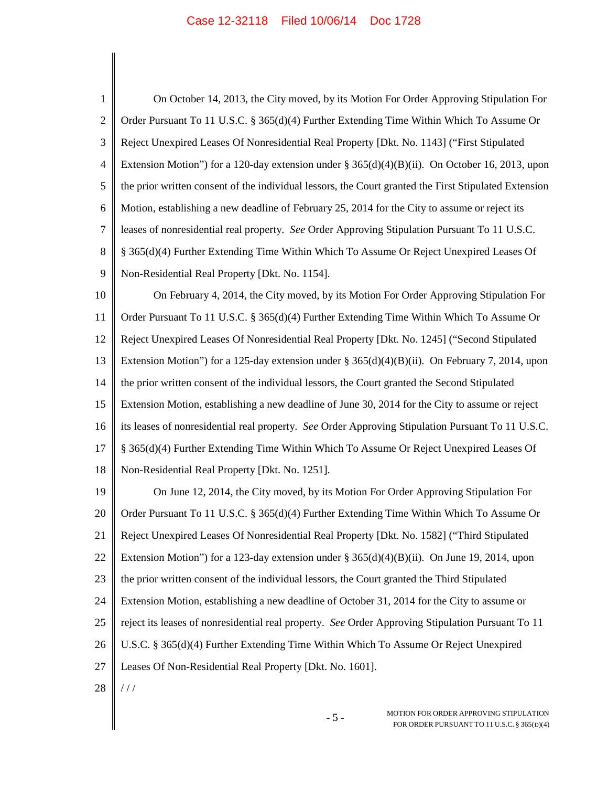| $\mathbf{1}$   | On October 14, 2013, the City moved, by its Motion For Order Approving Stipulation For                |
|----------------|-------------------------------------------------------------------------------------------------------|
| $\overline{2}$ | Order Pursuant To 11 U.S.C. § 365(d)(4) Further Extending Time Within Which To Assume Or              |
| 3              | Reject Unexpired Leases Of Nonresidential Real Property [Dkt. No. 1143] ("First Stipulated"           |
| $\overline{4}$ | Extension Motion") for a 120-day extension under § 365(d)(4)(B)(ii). On October 16, 2013, upon        |
| 5              | the prior written consent of the individual lessors, the Court granted the First Stipulated Extension |
| 6              | Motion, establishing a new deadline of February 25, 2014 for the City to assume or reject its         |
| $\overline{7}$ | leases of nonresidential real property. See Order Approving Stipulation Pursuant To 11 U.S.C.         |
| 8              | § 365(d)(4) Further Extending Time Within Which To Assume Or Reject Unexpired Leases Of               |
| 9              | Non-Residential Real Property [Dkt. No. 1154].                                                        |
| 10             | On February 4, 2014, the City moved, by its Motion For Order Approving Stipulation For                |
| 11             | Order Pursuant To 11 U.S.C. § 365(d)(4) Further Extending Time Within Which To Assume Or              |
| 12             | Reject Unexpired Leases Of Nonresidential Real Property [Dkt. No. 1245] ("Second Stipulated           |
| 13             | Extension Motion") for a 125-day extension under § 365(d)(4)(B)(ii). On February 7, 2014, upon        |
| 14             | the prior written consent of the individual lessors, the Court granted the Second Stipulated          |
| 15             | Extension Motion, establishing a new deadline of June 30, 2014 for the City to assume or reject       |
| 16             | its leases of nonresidential real property. See Order Approving Stipulation Pursuant To 11 U.S.C.     |
| 17             | § 365(d)(4) Further Extending Time Within Which To Assume Or Reject Unexpired Leases Of               |
| 18             | Non-Residential Real Property [Dkt. No. 1251].                                                        |
| 19             | On June 12, 2014, the City moved, by its Motion For Order Approving Stipulation For                   |
| 20             | Order Pursuant To 11 U.S.C. § 365(d)(4) Further Extending Time Within Which To Assume Or              |
| 21             | Reject Unexpired Leases Of Nonresidential Real Property [Dkt. No. 1582] ("Third Stipulated            |
| 22             | Extension Motion") for a 123-day extension under $\S 365(d)(4)(B)(ii)$ . On June 19, 2014, upon       |
| 23             | the prior written consent of the individual lessors, the Court granted the Third Stipulated           |
| 24             | Extension Motion, establishing a new deadline of October 31, 2014 for the City to assume or           |
| 25             | reject its leases of nonresidential real property. See Order Approving Stipulation Pursuant To 11     |
| 26             | U.S.C. § 365(d)(4) Further Extending Time Within Which To Assume Or Reject Unexpired                  |
| 27             | Leases Of Non-Residential Real Property [Dkt. No. 1601].                                              |
| 28             | //                                                                                                    |
|                | MOTION FOR ORDER APPROVING STIPULATION<br>$-5-$<br>FOR ORDER PURSUANT TO 11 U.S.C. § 365(D)(4)        |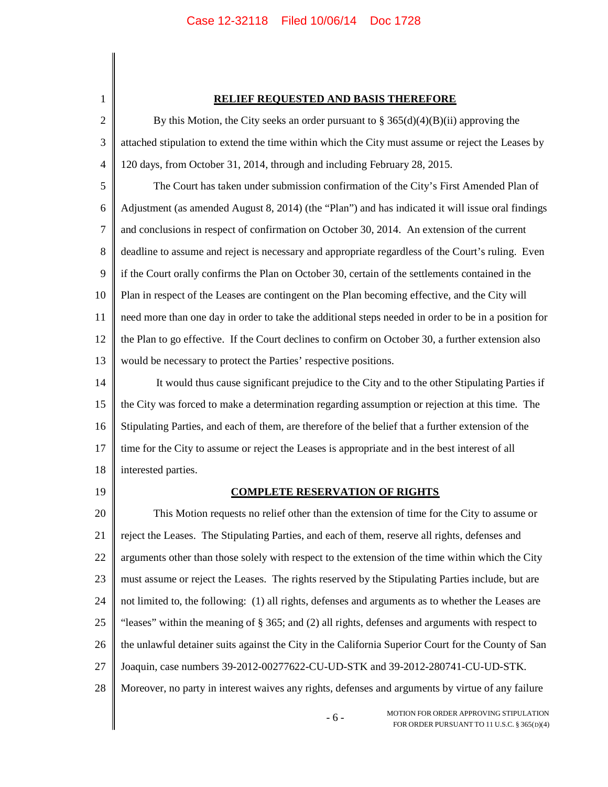| 1              | <b>RELIEF REQUESTED AND BASIS THEREFORE</b>                                                          |
|----------------|------------------------------------------------------------------------------------------------------|
| $\overline{2}$ | By this Motion, the City seeks an order pursuant to $\S 365(d)(4)(B)(ii)$ approving the              |
| 3              | attached stipulation to extend the time within which the City must assume or reject the Leases by    |
| 4              | 120 days, from October 31, 2014, through and including February 28, 2015.                            |
| 5              | The Court has taken under submission confirmation of the City's First Amended Plan of                |
| 6              | Adjustment (as amended August 8, 2014) (the "Plan") and has indicated it will issue oral findings    |
| 7              | and conclusions in respect of confirmation on October 30, 2014. An extension of the current          |
| 8              | deadline to assume and reject is necessary and appropriate regardless of the Court's ruling. Even    |
| 9              | if the Court orally confirms the Plan on October 30, certain of the settlements contained in the     |
| 10             | Plan in respect of the Leases are contingent on the Plan becoming effective, and the City will       |
| 11             | need more than one day in order to take the additional steps needed in order to be in a position for |
| 12             | the Plan to go effective. If the Court declines to confirm on October 30, a further extension also   |
| 13             | would be necessary to protect the Parties' respective positions.                                     |
| 14             | It would thus cause significant prejudice to the City and to the other Stipulating Parties if        |
| 15             | the City was forced to make a determination regarding assumption or rejection at this time. The      |
| 16             | Stipulating Parties, and each of them, are therefore of the belief that a further extension of the   |
| 17             | time for the City to assume or reject the Leases is appropriate and in the best interest of all      |
| 18             | interested parties.                                                                                  |
| 19             | <b>COMPLETE RESERVATION OF RIGHTS</b>                                                                |
| 20             | This Motion requests no relief other than the extension of time for the City to assume or            |
| 21             | reject the Leases. The Stipulating Parties, and each of them, reserve all rights, defenses and       |
| 22             | arguments other than those solely with respect to the extension of the time within which the City    |
| 23             | must assume or reject the Leases. The rights reserved by the Stipulating Parties include, but are    |
| 24             | not limited to, the following: (1) all rights, defenses and arguments as to whether the Leases are   |
| 25             | "leases" within the meaning of $\S 365$ ; and (2) all rights, defenses and arguments with respect to |
| 26             | the unlawful detainer suits against the City in the California Superior Court for the County of San  |
| 27             | Joaquin, case numbers 39-2012-00277622-CU-UD-STK and 39-2012-280741-CU-UD-STK.                       |
| 28             | Moreover, no party in interest waives any rights, defenses and arguments by virtue of any failure    |
|                | MOTION FOR ORDER APPROVING STIPULATION<br>$-6-$<br>FOR ORDER PURSUANT TO 11 U.S.C. § 365(D)(4)       |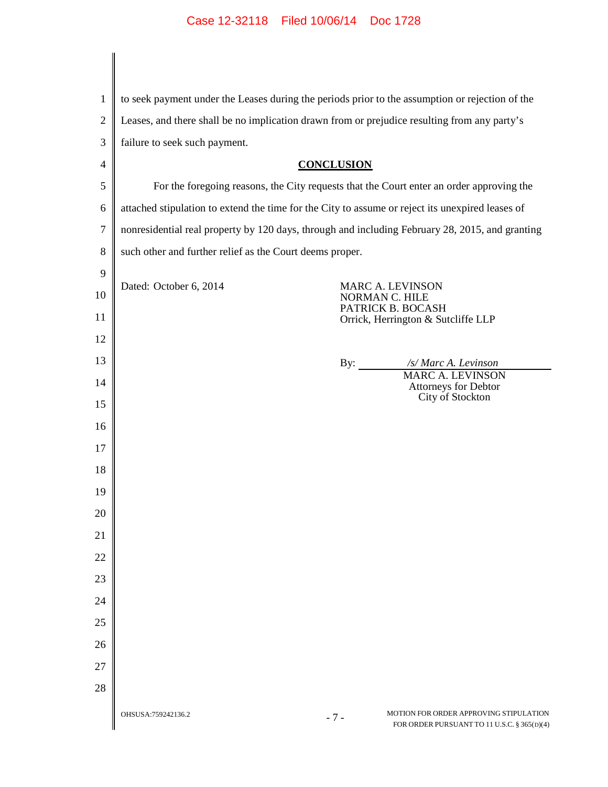| $\mathbf{1}$     | to seek payment under the Leases during the periods prior to the assumption or rejection of the                      |
|------------------|----------------------------------------------------------------------------------------------------------------------|
| $\mathbf{2}$     | Leases, and there shall be no implication drawn from or prejudice resulting from any party's                         |
| 3                | failure to seek such payment.                                                                                        |
| 4                | <b>CONCLUSION</b>                                                                                                    |
| 5                | For the foregoing reasons, the City requests that the Court enter an order approving the                             |
| 6                | attached stipulation to extend the time for the City to assume or reject its unexpired leases of                     |
| $\boldsymbol{7}$ | nonresidential real property by 120 days, through and including February 28, 2015, and granting                      |
| 8                | such other and further relief as the Court deems proper.                                                             |
| 9                |                                                                                                                      |
| 10               | Dated: October 6, 2014<br>MARC A. LEVINSON<br>NORMAN C. HILE<br>PATRICK B. BOCASH                                    |
| 11               | Orrick, Herrington & Sutcliffe LLP                                                                                   |
| 12               |                                                                                                                      |
| 13               | /s/ Marc A. Levinson<br>By: $\qquad \qquad$<br><b>MARC A. LEVINSON</b>                                               |
| 14               | <b>Attorneys for Debtor</b><br>City of Stockton                                                                      |
| 15               |                                                                                                                      |
| 16               |                                                                                                                      |
| 17               |                                                                                                                      |
| 18               |                                                                                                                      |
| 19               |                                                                                                                      |
| 20               |                                                                                                                      |
| 21               |                                                                                                                      |
| 22               |                                                                                                                      |
| 23               |                                                                                                                      |
| 24               |                                                                                                                      |
| 25               |                                                                                                                      |
| 26               |                                                                                                                      |
| 27               |                                                                                                                      |
| 28               |                                                                                                                      |
|                  | MOTION FOR ORDER APPROVING STIPULATION<br>OHSUSA:759242136.2<br>$-7-$<br>FOR ORDER PURSUANT TO 11 U.S.C. § 365(D)(4) |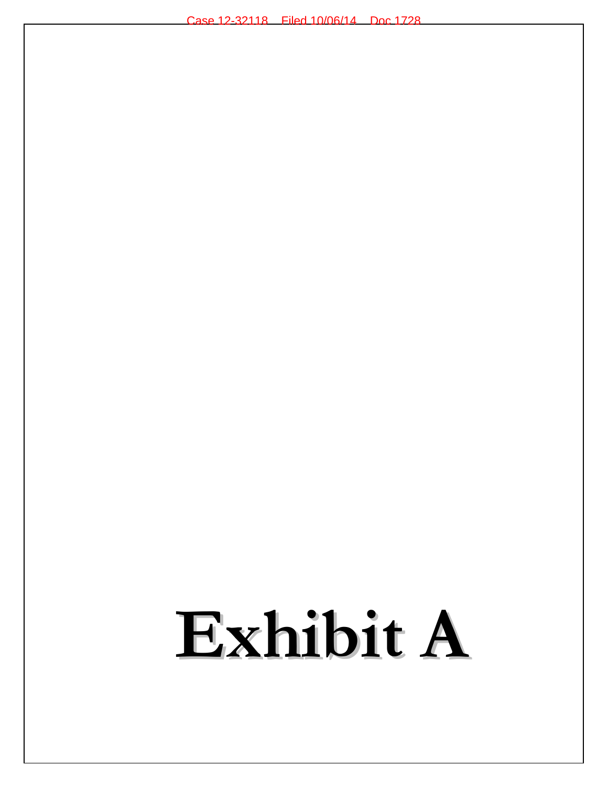# Exhibit A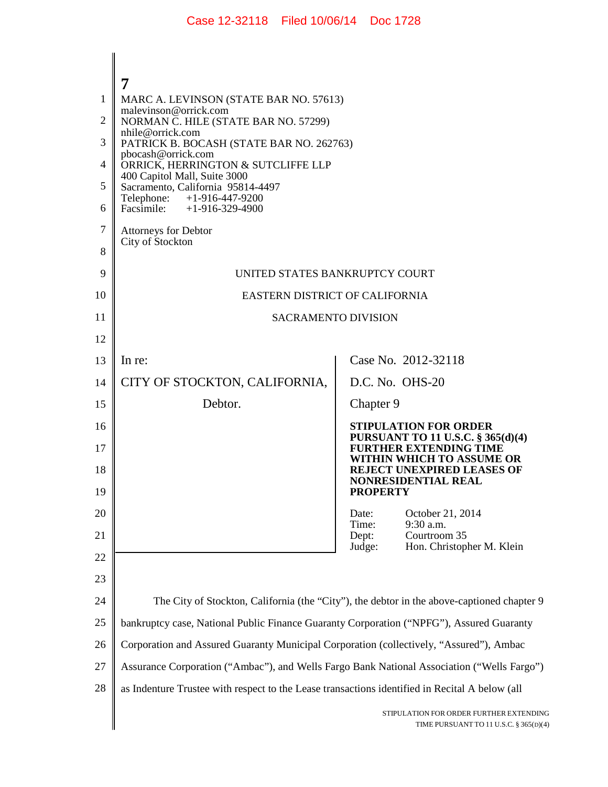| 1        | MARC A. LEVINSON (STATE BAR NO. 57613)<br>malevinson@orrick.com                                |                                                                                            |  |
|----------|------------------------------------------------------------------------------------------------|--------------------------------------------------------------------------------------------|--|
| 2        | NORMAN C. HILE (STATE BAR NO. 57299)<br>nhile@orrick.com                                       |                                                                                            |  |
| 3        | PATRICK B. BOCASH (STATE BAR NO. 262763)<br>pbocash@orrick.com                                 |                                                                                            |  |
| 4        | ORRICK, HERRINGTON & SUTCLIFFE LLP<br>400 Capitol Mall, Suite 3000                             |                                                                                            |  |
| 5        | Sacramento, California 95814-4497                                                              |                                                                                            |  |
| 6        | Telephone:<br>$+1-916-447-9200$<br>Facsimile:<br>$+1-916-329-4900$                             |                                                                                            |  |
| 7        | <b>Attorneys for Debtor</b>                                                                    |                                                                                            |  |
| 8        | City of Stockton                                                                               |                                                                                            |  |
| 9        | UNITED STATES BANKRUPTCY COURT                                                                 |                                                                                            |  |
| 10       | EASTERN DISTRICT OF CALIFORNIA                                                                 |                                                                                            |  |
| 11       | <b>SACRAMENTO DIVISION</b>                                                                     |                                                                                            |  |
| 12       |                                                                                                |                                                                                            |  |
| 13       | In re:                                                                                         | Case No. 2012-32118                                                                        |  |
| 14       | CITY OF STOCKTON, CALIFORNIA,                                                                  | D.C. No. OHS-20                                                                            |  |
| 15       | Debtor.                                                                                        | Chapter 9                                                                                  |  |
| 16       |                                                                                                | <b>STIPULATION FOR ORDER</b><br>PURSUANT TO 11 U.S.C. § 365(d)(4)                          |  |
| 17       |                                                                                                | <b>FURTHER EXTENDING TIME</b><br>WITHIN WHICH TO ASSUME OR                                 |  |
| 18       |                                                                                                | <b>REJECT UNEXPIRED LEASES OF</b><br><b>NONRESIDENTIAL REAL</b>                            |  |
| 19       |                                                                                                | <b>PROPERTY</b>                                                                            |  |
| 20<br>21 |                                                                                                | Date:<br>October 21, 2014<br>9:30 a.m.<br>Time:<br>Courtroom 35<br>Dept:                   |  |
| 22       |                                                                                                | Hon. Christopher M. Klein<br>Judge:                                                        |  |
| 23       |                                                                                                |                                                                                            |  |
| 24       |                                                                                                | The City of Stockton, California (the "City"), the debtor in the above-captioned chapter 9 |  |
| 25       | bankruptcy case, National Public Finance Guaranty Corporation ("NPFG"), Assured Guaranty       |                                                                                            |  |
| 26       | Corporation and Assured Guaranty Municipal Corporation (collectively, "Assured"), Ambac        |                                                                                            |  |
| 27       | Assurance Corporation ("Ambac"), and Wells Fargo Bank National Association ("Wells Fargo")     |                                                                                            |  |
| 28       | as Indenture Trustee with respect to the Lease transactions identified in Recital A below (all |                                                                                            |  |
|          |                                                                                                | STIPULATION FOR ORDER FURTHER EXTENDING<br>TIME PURSUANT TO 11 U.S.C. § 365(D)(4)          |  |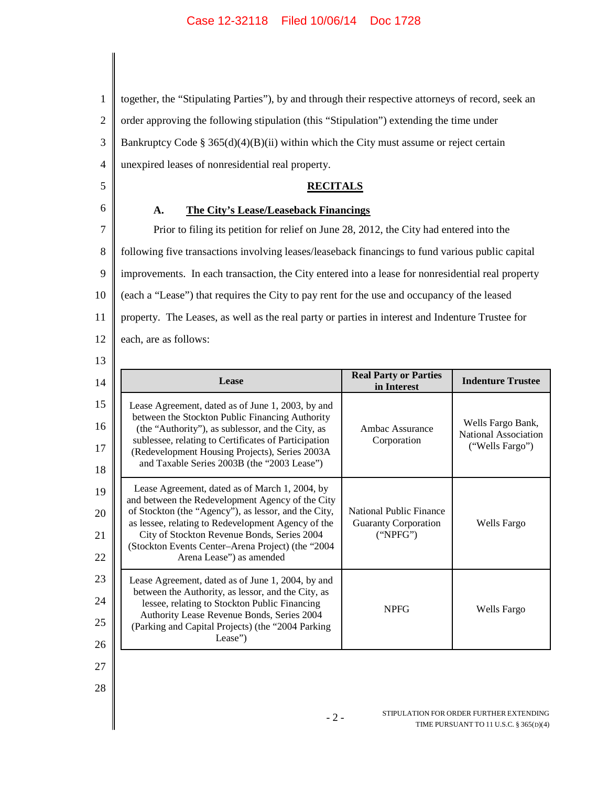1 2 3 together, the "Stipulating Parties"), by and through their respective attorneys of record, seek an order approving the following stipulation (this "Stipulation") extending the time under Bankruptcy Code § 365(d)(4)(B)(ii) within which the City must assume or reject certain

4

6

5

### **RECITALS**

#### **A. The City's Lease/Leaseback Financings**

unexpired leases of nonresidential real property.

7 8 9 10 11 12 Prior to filing its petition for relief on June 28, 2012, the City had entered into the following five transactions involving leases/leaseback financings to fund various public capital improvements. In each transaction, the City entered into a lease for nonresidential real property (each a "Lease") that requires the City to pay rent for the use and occupancy of the leased property. The Leases, as well as the real party or parties in interest and Indenture Trustee for each, are as follows:

| ٦<br>×<br>۰.<br>۰.<br>× |
|-------------------------|

| 14                   | Lease                                                                                                                                                                                                                                                                                                                                            | <b>Real Party or Parties</b><br>in Interest                               | <b>Indenture Trustee</b>                                            |
|----------------------|--------------------------------------------------------------------------------------------------------------------------------------------------------------------------------------------------------------------------------------------------------------------------------------------------------------------------------------------------|---------------------------------------------------------------------------|---------------------------------------------------------------------|
| 15<br>16<br>17<br>18 | Lease Agreement, dated as of June 1, 2003, by and<br>between the Stockton Public Financing Authority<br>(the "Authority"), as sublessor, and the City, as<br>sublessee, relating to Certificates of Participation<br>(Redevelopment Housing Projects), Series 2003A<br>and Taxable Series 2003B (the "2003 Lease")                               | Ambac Assurance<br>Corporation                                            | Wells Fargo Bank,<br><b>National Association</b><br>("Wells Fargo") |
| 19<br>20<br>21<br>22 | Lease Agreement, dated as of March 1, 2004, by<br>and between the Redevelopment Agency of the City<br>of Stockton (the "Agency"), as lessor, and the City,<br>as lessee, relating to Redevelopment Agency of the<br>City of Stockton Revenue Bonds, Series 2004<br>(Stockton Events Center-Arena Project) (the "2004<br>Arena Lease") as amended | <b>National Public Finance</b><br><b>Guaranty Corporation</b><br>("NPEG") | <b>Wells Fargo</b>                                                  |
| 23<br>24<br>25<br>26 | Lease Agreement, dated as of June 1, 2004, by and<br>between the Authority, as lessor, and the City, as<br>lessee, relating to Stockton Public Financing<br>Authority Lease Revenue Bonds, Series 2004<br>(Parking and Capital Projects) (the "2004 Parking<br>Lease")                                                                           | <b>NPFG</b>                                                               | Wells Fargo                                                         |

27

28

- 2 - STIPULATION FOR ORDER FURTHER EXTENDING TIME PURSUANT TO 11 U.S.C. § 365(D)(4)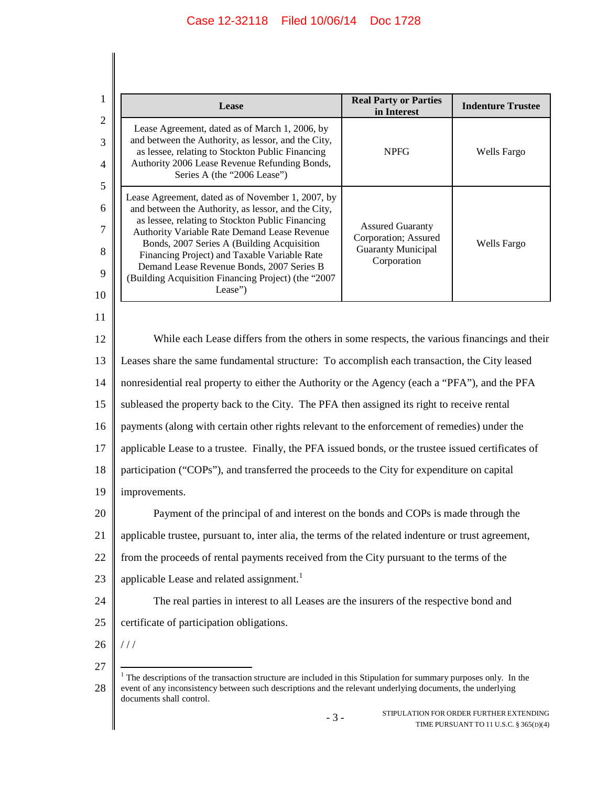| Lease                                                                                                                                                                                                                                                                                                                                                                                                                     | <b>Real Party or Parties</b><br>in Interest                                                 | <b>Indenture Trustee</b> |
|---------------------------------------------------------------------------------------------------------------------------------------------------------------------------------------------------------------------------------------------------------------------------------------------------------------------------------------------------------------------------------------------------------------------------|---------------------------------------------------------------------------------------------|--------------------------|
| Lease Agreement, dated as of March 1, 2006, by<br>and between the Authority, as lessor, and the City,<br>as lessee, relating to Stockton Public Financing<br>Authority 2006 Lease Revenue Refunding Bonds,<br>Series A (the "2006 Lease")                                                                                                                                                                                 | <b>NPFG</b>                                                                                 | Wells Fargo              |
| Lease Agreement, dated as of November 1, 2007, by<br>and between the Authority, as lessor, and the City,<br>as lessee, relating to Stockton Public Financing<br>Authority Variable Rate Demand Lease Revenue<br>Bonds, 2007 Series A (Building Acquisition<br>Financing Project) and Taxable Variable Rate<br>Demand Lease Revenue Bonds, 2007 Series B<br>(Building Acquisition Financing Project) (the "2007<br>Lease") | <b>Assured Guaranty</b><br>Corporation; Assured<br><b>Guaranty Municipal</b><br>Corporation | Wells Fargo              |
| While each Lease differs from the others in some respects, the various financings and their                                                                                                                                                                                                                                                                                                                               |                                                                                             |                          |
| Leases share the same fundamental structure: To accomplish each transaction, the City leased                                                                                                                                                                                                                                                                                                                              |                                                                                             |                          |
| nonresidential real property to either the Authority or the Agency (each a "PFA"), and the PFA<br>14                                                                                                                                                                                                                                                                                                                      |                                                                                             |                          |
| subleased the property back to the City. The PFA then assigned its right to receive rental                                                                                                                                                                                                                                                                                                                                |                                                                                             |                          |
| payments (along with certain other rights relevant to the enforcement of remedies) under the                                                                                                                                                                                                                                                                                                                              |                                                                                             |                          |
| applicable Lease to a trustee. Finally, the PFA issued bonds, or the trustee issued certificates of                                                                                                                                                                                                                                                                                                                       |                                                                                             |                          |
| participation ("COPs"), and transferred the proceeds to the City for expenditure on capital                                                                                                                                                                                                                                                                                                                               |                                                                                             |                          |
| improvements.                                                                                                                                                                                                                                                                                                                                                                                                             |                                                                                             |                          |
| Payment of the principal of and interest on the bonds and COPs is made through the                                                                                                                                                                                                                                                                                                                                        |                                                                                             |                          |
| applicable trustee, pursuant to, inter alia, the terms of the related indenture or trust agreement,                                                                                                                                                                                                                                                                                                                       |                                                                                             |                          |
| from the proceeds of rental payments received from the City pursuant to the terms of the                                                                                                                                                                                                                                                                                                                                  |                                                                                             |                          |
| applicable Lease and related assignment.                                                                                                                                                                                                                                                                                                                                                                                  |                                                                                             |                          |
| The real parties in interest to all Leases are the insurers of the respective bond and                                                                                                                                                                                                                                                                                                                                    |                                                                                             |                          |
|                                                                                                                                                                                                                                                                                                                                                                                                                           |                                                                                             |                          |
| certificate of participation obligations.                                                                                                                                                                                                                                                                                                                                                                                 |                                                                                             |                          |

event of any inconsistency between such descriptions and the relevant underlying documents, the underlying documents shall control.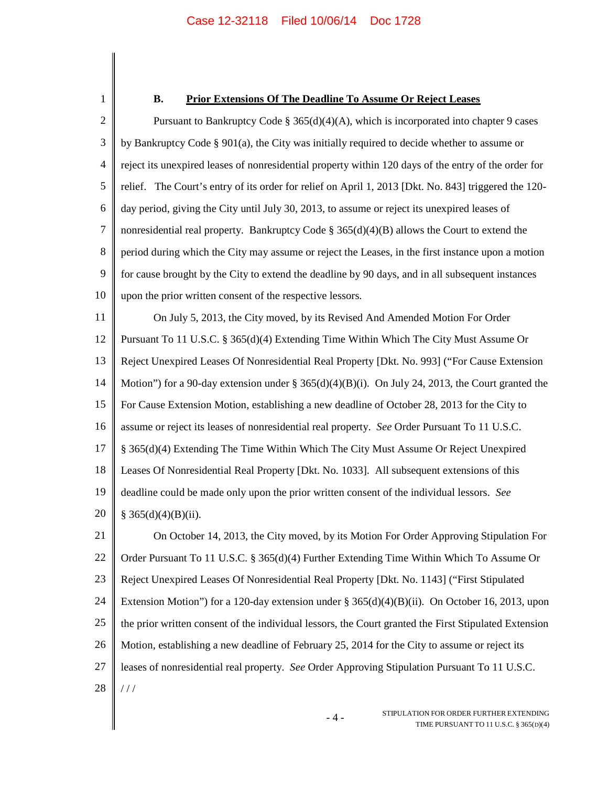1

#### **B. Prior Extensions Of The Deadline To Assume Or Reject Leases**

2 3 4 5 6 7 8 9 10 11 12 13 14 15 16 17 18 19 20 21 22 23 24 25 26 27 28 Pursuant to Bankruptcy Code §  $365(d)(4)(A)$ , which is incorporated into chapter 9 cases by Bankruptcy Code § 901(a), the City was initially required to decide whether to assume or reject its unexpired leases of nonresidential property within 120 days of the entry of the order for relief. The Court's entry of its order for relief on April 1, 2013 [Dkt. No. 843] triggered the 120 day period, giving the City until July 30, 2013, to assume or reject its unexpired leases of nonresidential real property. Bankruptcy Code  $\S 365(d)(4)(B)$  allows the Court to extend the period during which the City may assume or reject the Leases, in the first instance upon a motion for cause brought by the City to extend the deadline by 90 days, and in all subsequent instances upon the prior written consent of the respective lessors. On July 5, 2013, the City moved, by its Revised And Amended Motion For Order Pursuant To 11 U.S.C. § 365(d)(4) Extending Time Within Which The City Must Assume Or Reject Unexpired Leases Of Nonresidential Real Property [Dkt. No. 993] ("For Cause Extension Motion") for a 90-day extension under  $\S 365(d)(4)(B)(i)$ . On July 24, 2013, the Court granted the For Cause Extension Motion, establishing a new deadline of October 28, 2013 for the City to assume or reject its leases of nonresidential real property. *See* Order Pursuant To 11 U.S.C. § 365(d)(4) Extending The Time Within Which The City Must Assume Or Reject Unexpired Leases Of Nonresidential Real Property [Dkt. No. 1033]. All subsequent extensions of this deadline could be made only upon the prior written consent of the individual lessors. *See*  $§ 365(d)(4)(B)(ii).$ On October 14, 2013, the City moved, by its Motion For Order Approving Stipulation For Order Pursuant To 11 U.S.C. § 365(d)(4) Further Extending Time Within Which To Assume Or Reject Unexpired Leases Of Nonresidential Real Property [Dkt. No. 1143] ("First Stipulated Extension Motion") for a 120-day extension under § 365(d)(4)(B)(ii). On October 16, 2013, upon the prior written consent of the individual lessors, the Court granted the First Stipulated Extension Motion, establishing a new deadline of February 25, 2014 for the City to assume or reject its leases of nonresidential real property. *See* Order Approving Stipulation Pursuant To 11 U.S.C. / / /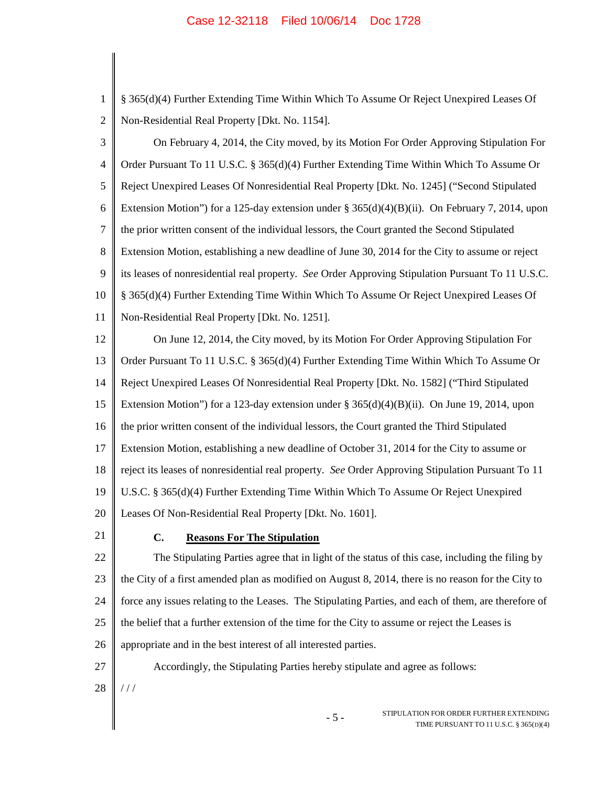| $\mathbf{1}$   | § 365(d)(4) Further Extending Time Within Which To Assume Or Reject Unexpired Leases Of              |
|----------------|------------------------------------------------------------------------------------------------------|
| $\mathfrak{2}$ | Non-Residential Real Property [Dkt. No. 1154].                                                       |
| 3              | On February 4, 2014, the City moved, by its Motion For Order Approving Stipulation For               |
| $\overline{4}$ | Order Pursuant To 11 U.S.C. § 365(d)(4) Further Extending Time Within Which To Assume Or             |
| 5              | Reject Unexpired Leases Of Nonresidential Real Property [Dkt. No. 1245] ("Second Stipulated          |
| 6              | Extension Motion") for a 125-day extension under § 365(d)(4)(B)(ii). On February 7, 2014, upon       |
| $\tau$         | the prior written consent of the individual lessors, the Court granted the Second Stipulated         |
| $8\,$          | Extension Motion, establishing a new deadline of June 30, 2014 for the City to assume or reject      |
| 9              | its leases of nonresidential real property. See Order Approving Stipulation Pursuant To 11 U.S.C.    |
| 10             | § 365(d)(4) Further Extending Time Within Which To Assume Or Reject Unexpired Leases Of              |
| 11             | Non-Residential Real Property [Dkt. No. 1251].                                                       |
| 12             | On June 12, 2014, the City moved, by its Motion For Order Approving Stipulation For                  |
| 13             | Order Pursuant To 11 U.S.C. § 365(d)(4) Further Extending Time Within Which To Assume Or             |
| 14             | Reject Unexpired Leases Of Nonresidential Real Property [Dkt. No. 1582] ("Third Stipulated           |
| 15             | Extension Motion") for a 123-day extension under § 365(d)(4)(B)(ii). On June 19, 2014, upon          |
| 16             | the prior written consent of the individual lessors, the Court granted the Third Stipulated          |
| 17             | Extension Motion, establishing a new deadline of October 31, 2014 for the City to assume or          |
| 18             | reject its leases of nonresidential real property. See Order Approving Stipulation Pursuant To 11    |
| 19             | U.S.C. § 365(d)(4) Further Extending Time Within Which To Assume Or Reject Unexpired                 |
| 20             | Leases Of Non-Residential Real Property [Dkt. No. 1601].                                             |
| 21             | C.<br><b>Reasons For The Stipulation</b>                                                             |
| 22             | The Stipulating Parties agree that in light of the status of this case, including the filing by      |
| 23             | the City of a first amended plan as modified on August 8, 2014, there is no reason for the City to   |
| 24             | force any issues relating to the Leases. The Stipulating Parties, and each of them, are therefore of |
| 25             | the belief that a further extension of the time for the City to assume or reject the Leases is       |
| 26             | appropriate and in the best interest of all interested parties.                                      |
| 27             | Accordingly, the Stipulating Parties hereby stipulate and agree as follows:                          |
| 28             | ///                                                                                                  |
|                | STIPULATION FOR ORDER FURTHER EXTENDING<br>$-5-$<br>TIME PURSUANT TO 11 U.S.C. § 365(D)(4)           |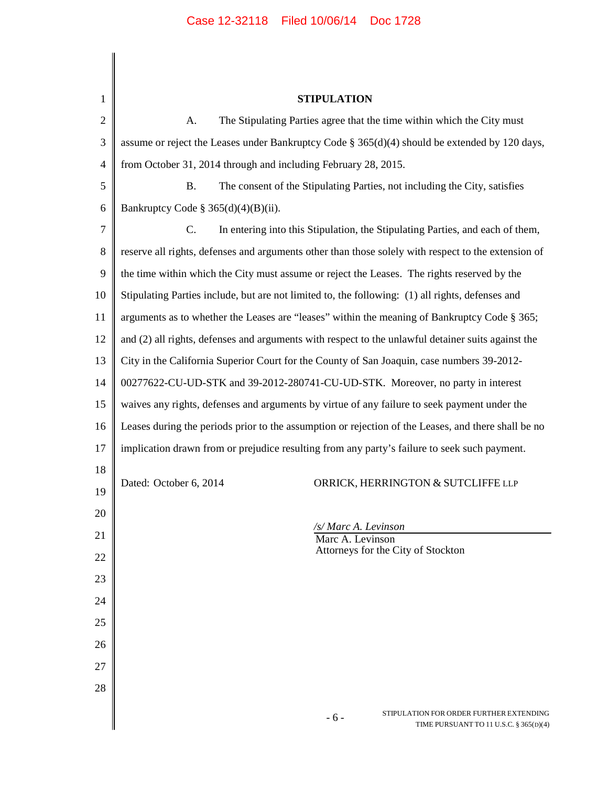- 6 - STIPULATION FOR ORDER FURTHER EXTENDING 1 2 3 4 5 6 7 8 9 10 11 12 13 14 15 16 17 18 19 20 21 22 23 24 25 26 27 28 **STIPULATION** A. The Stipulating Parties agree that the time within which the City must assume or reject the Leases under Bankruptcy Code § 365(d)(4) should be extended by 120 days, from October 31, 2014 through and including February 28, 2015. B. The consent of the Stipulating Parties, not including the City, satisfies Bankruptcy Code § 365(d)(4)(B)(ii). C. In entering into this Stipulation, the Stipulating Parties, and each of them, reserve all rights, defenses and arguments other than those solely with respect to the extension of the time within which the City must assume or reject the Leases. The rights reserved by the Stipulating Parties include, but are not limited to, the following: (1) all rights, defenses and arguments as to whether the Leases are "leases" within the meaning of Bankruptcy Code § 365; and (2) all rights, defenses and arguments with respect to the unlawful detainer suits against the City in the California Superior Court for the County of San Joaquin, case numbers 39-2012- 00277622-CU-UD-STK and 39-2012-280741-CU-UD-STK. Moreover, no party in interest waives any rights, defenses and arguments by virtue of any failure to seek payment under the Leases during the periods prior to the assumption or rejection of the Leases, and there shall be no implication drawn from or prejudice resulting from any party's failure to seek such payment. Dated: October 6, 2014 ORRICK, HERRINGTON & SUTCLIFFE LLP */s/ Marc A. Levinson* Marc A. Levinson Attorneys for the City of Stockton

TIME PURSUANT TO 11 U.S.C. § 365(D)(4)